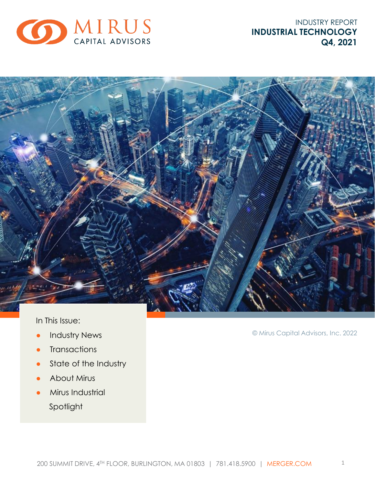

INDUSTRY REPORT **INDUSTRIAL TECHNOLOGY Q4, 2021**



In This Issue:

- **•** Industry News
- Transactions
- State of the Industry
- About Mirus
- **•** Mirus Industrial Spotlight

© Mirus Capital Advisors, Inc. 2022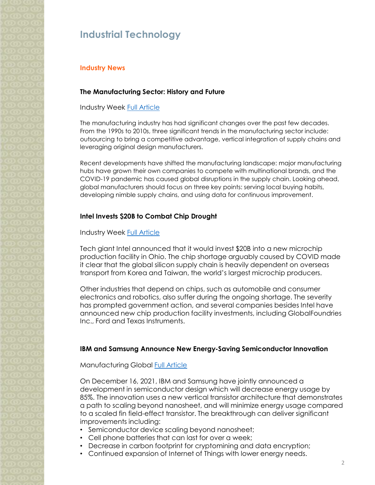## **Industrial Technology**

### **Industry News**

### **The Manufacturing Sector: History and Future**

### Industry Week [Full Article](https://www.industryweek.com/leadership/change-management/article/21182012/where-manufacturings-been-and-where-its-going)

The manufacturing industry has had significant changes over the past few decades. From the 1990s to 2010s, three significant trends in the manufacturing sector include: outsourcing to bring a competitive advantage, vertical integration of supply chains and leveraging original design manufacturers.

Recent developments have shifted the manufacturing landscape: major manufacturing hubs have grown their own companies to compete with multinational brands, and the COVID-19 pandemic has caused global disruptions in the supply chain. Looking ahead, global manufacturers should focus on three key points: serving local buying habits, developing nimble supply chains, and using data for continuous improvement.

### **Intel Invests \$20B to Combat Chip Drought**

Industry Week [Full Article](https://www.industryweek.com/supply-chain/article/21214871/intels-20b-fab-investment-combats-the-chip-drought)

Tech giant Intel announced that it would invest \$20B into a new microchip production facility in Ohio. The chip shortage arguably caused by COVID made it clear that the global silicon supply chain is heavily dependent on overseas transport from Korea and Taiwan, the world's largest microchip producers.

Other industries that depend on chips, such as automobile and consumer electronics and robotics, also suffer during the ongoing shortage. The severity has prompted government action, and several companies besides Intel have announced new chip production facility investments, including GlobalFoundries Inc., Ford and Texas Instruments.

### **IBM and Samsung Announce New Energy-Saving Semiconductor Innovation**

### Manufacturing Global [Full Article](https://manufacturingglobal.com/technology/ibm-and-samsung-new-semiconductor-innovation-save-energy)

On December 16, 2021, IBM and Samsung have jointly announced a development in semiconductor design which will decrease energy usage by 85%. The innovation uses a new vertical transistor architecture that demonstrates a path to scaling beyond nanosheet, and will minimize energy usage compared to a scaled fin field-effect transistor. The breakthrough can deliver significant improvements including:

- Semiconductor device scaling beyond nanosheet;
- Cell phone batteries that can last for over a week;
- Decrease in carbon footprint for cryptomining and data encryption;
- Continued expansion of Internet of Things with lower energy needs.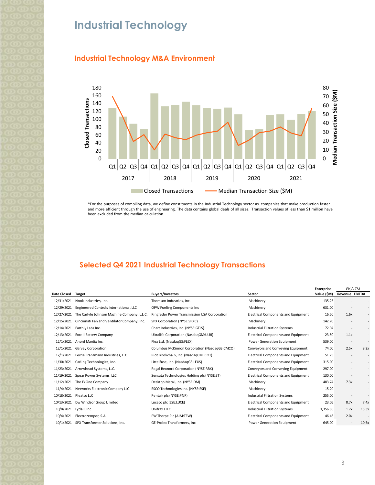# **Industrial Technology**

## **Industrial Technology M&A Environment**



\*For the purposes of compiling data, we define constituents in the Industrial Technology sector as companies that make production faster and more efficient through the use of engineering. The data contains global deals of all sizes. Transaction values of less than \$1 million have been excluded from the median calculation.

## **Selected Q4 2021 Industrial Technology Transactions**

|                    |                                             |                                               |                                            | <b>Enterprise</b> | EV/LTM                   |                          |
|--------------------|---------------------------------------------|-----------------------------------------------|--------------------------------------------|-------------------|--------------------------|--------------------------|
| <b>Date Closed</b> | <b>Target</b>                               | <b>Buyers/Investors</b>                       | Sector                                     | Value (\$M)       | Revenue EBITDA           |                          |
| 12/31/2021         | Nook Industries, Inc.                       | Thomson Industries, Inc.                      | Machinery                                  | 135.25            |                          |                          |
| 12/29/2021         | Engineered Controls International, LLC      | OPW Fueling Components Inc                    | Machinery                                  | 631.00            |                          |                          |
| 12/27/2021         | The Carlyle Johnson Machine Company, L.L.C. | Ringfeder Power Transmission USA Corporation  | <b>Electrical Components and Equipment</b> | 16.50             | 1.6x                     | $\overline{\phantom{a}}$ |
| 12/15/2021         | Cincinnati Fan and Ventilator Company, Inc. | SPX Corporation (NYSE:SPXC)                   | Machinery                                  | 142.70            |                          |                          |
| 12/14/2021         | Earthly Labs Inc.                           | Chart Industries, Inc. (NYSE:GTLS)            | <b>Industrial Filtration Systems</b>       | 72.94             | $\overline{\phantom{a}}$ | $\overline{\phantom{a}}$ |
| 12/13/2021         | <b>Excell Battery Company</b>               | Ultralife Corporation (NasdagGM:ULBI)         | Electrical Components and Equipment        | 23.50             | 1.1x                     |                          |
| 12/1/2021          | Anord Mardix Inc.                           | Flex Ltd. (NasdagGS:FLEX)                     | <b>Power Generation Equipment</b>          | 539.00            | $\overline{\phantom{a}}$ |                          |
| 12/1/2021          | <b>Garvey Corporation</b>                   | Columbus McKinnon Corporation (NasdagGS:CMCO) | Conveyors and Conveying Equipment          | 74.00             | 2.5x                     | 8.2x                     |
| 12/1/2021          | Ferrie Franzmann Industries, LLC            | Riot Blockchain, Inc. (NasdagCM:RIOT)         | Electrical Components and Equipment        | 51.73             | $\overline{\phantom{a}}$ |                          |
| 11/30/2021         | Carling Technologies, Inc.                  | Littelfuse, Inc. (NasdagGS:LFUS)              | Electrical Components and Equipment        | 315.00            |                          |                          |
| 11/23/2021         | Arrowhead Systems, LLC.                     | Regal Rexnord Corporation (NYSE:RRX)          | Conveyors and Conveying Equipment          | 297.00            |                          |                          |
| 11/19/2021         | Spear Power Systems, LLC                    | Sensata Technologies Holding plc (NYSE:ST)    | Electrical Components and Equipment        | 130.00            |                          | $\overline{\phantom{a}}$ |
| 11/12/2021         | The ExOne Company                           | Desktop Metal, Inc. (NYSE:DM)                 | Machinery                                  | 483.74            | 7.3x                     | $\overline{\phantom{a}}$ |
| 11/4/2021          | Networks Electronic Company LLC             | ESCO Technologies Inc. (NYSE:ESE)             | Machinery                                  | 15.20             | $\overline{\phantom{a}}$ |                          |
| 10/18/2021         | Pleatco LLC                                 | Pentair plc (NYSE:PNR)                        | <b>Industrial Filtration Systems</b>       | 255.00            |                          |                          |
| 10/13/2021         | Dw Windsor Group Limited                    | Luceco plc (LSE:LUCE)                         | <b>Electrical Components and Equipment</b> | 23.05             | 0.7x                     | 7.4x                     |
| 10/8/2021          | Lydall, Inc.                                | Unifrax I LLC                                 | <b>Industrial Filtration Systems</b>       | 1,356.86          | 1.7x                     | 15.3x                    |
| 10/4/2021          | Electrozemper, S.A.                         | FW Thorpe Plc (AIM:TFW)                       | Electrical Components and Equipment        | 46.46             | 2.0x                     |                          |
|                    | 10/1/2021 SPX Transformer Solutions, Inc.   | GE-Prolec Transformers, Inc.                  | <b>Power Generation Equipment</b>          | 645.00            | $\overline{\phantom{a}}$ | 10.5x                    |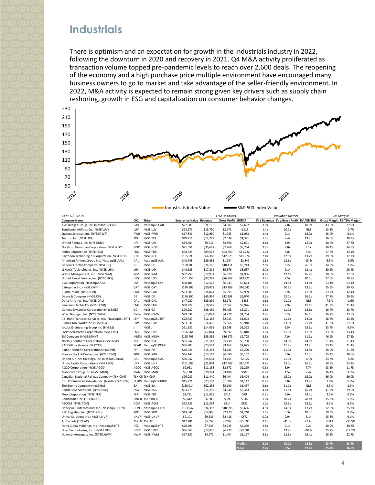# **Industrials**

There is optimism and an expectation for growth in the Industrials industry in 2022, following the downturn in 2020 and recovery in 2021. Q4 M&A activity proliferated as transaction volume topped pre-pandemic levels to reach over 2,600 deals. The reopening of the economy and a high purchase price multiple environment have encouraged many business owners to go to market and take advantage of the seller-friendly environment. In 2022, M&A activity is expected to remain strong given key drivers such as supply chain reshoring, growth in ESG and capitalization on consumer behavior changes.



| As of 12/31/2021                                                    |                   |                     |                                 |                      | <b>LTM Financials</b>      |             |      | <b>Valuation Metrics</b>                   |                |                | <b>LTM Margins</b>                |
|---------------------------------------------------------------------|-------------------|---------------------|---------------------------------|----------------------|----------------------------|-------------|------|--------------------------------------------|----------------|----------------|-----------------------------------|
| Company Name                                                        |                   | Ticker              | <b>Enterprise Value Revenue</b> |                      | <b>Gross Profit EBITDA</b> |             |      | EV / Revenue EV / Gross Profit EV / EBITDA |                |                | <b>Gross Margin EBITDA Margin</b> |
| Avis Budget Group, Inc. (NasdaqGS:CAR)                              | <b>CIQ</b><br>CAR | NasdaqGS:CAR        | \$27,989                        | \$9,313              | \$4,007                    | \$2,602     | 3.0x | 7.0x                                       | 10.8x          | 43.0%          | 27.9%                             |
| Southwest Airlines Co. (NYSE:LUV)                                   | LUV               | NYSE:LUV            | \$22,171                        | \$15,790             | \$2,172                    | $-5112$     | 1.4x | 10.2x                                      | <b>NM</b>      | 13.8%          | $-0.7%$                           |
| Quanta Services, Inc. (NYSE:PWR)                                    |                   | PWR NYSE:PWR        | \$17,841                        | \$12,980             | \$1,953                    | \$1,053     | 1.4x | 9.1x                                       | 16.9x          | 15.0%          | 8.1%                              |
| Textron Inc. (NYSE:TXT)                                             | <b>TXT</b>        | NYSE:TXT            | \$19,214                        | \$12,727             | \$2,038                    | \$1,391     | 1.5x | 9.4x                                       | 13.8x          | 16.0%          | 10.9%                             |
| United Rentals, Inc. (NYSE:URI)                                     | URI               | NYSE:URI            | \$34,654                        | \$9,716              | \$3,890                    | \$2,691     | 3.6x | 8.9x                                       | 12.9x          | 40.0%          | 27.7%                             |
| Northrop Grumman Corporation (NYSE:NOC)                             |                   | NOC NYSE:NOC        | \$71,051                        | \$35,667             | \$7,268                    | \$8,734     | 2.0x | 9.8x                                       | 8.1x           | 20.4%          | 24.5%                             |
| FedEx Corporation (NYSE:FDX)                                        | <b>FDX</b>        | NYSE:FDX            | \$98,528                        | \$89,552             | \$24,590                   | \$11,722    | 1.1x | 4.0x                                       | 8.4x           | 27.5%          | 13.1%                             |
| Raytheon Technologies Corporation (NYSE:RTX)                        | <b>RTX</b>        | NYSE:RTX            | \$155,993                       | \$64,388             | \$12,525                   | \$11,374    | 2.4x | 12.5x                                      | 13.7x          | 19.5%          | 17.7%                             |
| American Airlines Group Inc. (NasdaqGS:AAL)                         | AAL               | NasdagGS:AAL        | \$43,748                        | \$29,882             | \$1,934                    | $-52,842$   | 1.5x | 22.6x                                      | $-15.4x$       | 6.5%           | $-9.5%$                           |
| General Electric Company (NYSE:GE)                                  | GE                | NYSE:GE             | \$150,283                       | \$74,196             | \$18,411                   | \$5,713     | 2.0x | 8.2x                                       | 26.3x          | 24.8%          | 7.7%                              |
| L3Harris Technologies, Inc. (NYSE:LHX)                              | LHX               | NYSE:LHX            | \$48,685                        | \$17,814             | \$5,376                    | \$3,637     | 2.7x | 9.1x                                       | 13.4x          | 30.2%          | 20.4%                             |
| Waste Management, Inc. (NYSE:WM)                                    | WM                | NYSE:WM             | \$82,750                        | \$17,931             | \$6,820                    | \$4,956     | 4.6x | 12.1x                                      | 16.7x          | 38.0%          | 27.6%                             |
| United Parcel Service, Inc. (NYSE:UPS)                              | <b>UPS</b>        | NYSE:UPS            | \$201,355                       |                      | \$26,867                   | \$19,221    | 2.1x |                                            |                | 27.6%          | 19.8%                             |
| CSX Corporation (NasdaqGS:CSX)                                      | <b>CSX</b>        | NasdagGS:CSX        | \$98,101                        | \$97,287<br>\$12,522 | \$6,643                    | \$6,643     | 7.8x | 7.5x<br>14.8x                              | 10.5x<br>14.8x | 53.1%          | 53.1%                             |
| Caterpillar Inc. (NYSE:CAT)                                         | CAT               | NYSE:CAT            | \$140,106                       | \$50,971             | \$13,189                   | \$10,541    | 2.7x |                                            | 13.3x          | 25.9%          | 20.7%                             |
|                                                                     | <b>CMI</b>        |                     |                                 |                      | \$5,695                    |             |      | 10.6x                                      |                |                |                                   |
| Cummins Inc. (NYSE:CMI)                                             |                   | NYSE:CMI<br>NYSE:DE | \$33,505                        | \$24,021             |                            | \$2,969     | 1.4x | 5.9x                                       | 11.3x          | 23.7%<br>27.7% | 12.4%                             |
| Deere & Company (NYSE:DE)                                           | DE                |                     | \$146,800                       | \$43,956             | \$12,188                   | \$9,040     | 3.3x | 12.0x                                      | 16.2x          |                | 20.6%                             |
| Delta Air Lines, Inc. (NYSE:DAL)<br>Emerson Electric Co. (NYSE:EMR) | DAL<br><b>EMR</b> | NYSE:DAL            | \$47,020                        | \$29,899             | \$2,171                    | $-5488$     | 1.6x | 21.7x                                      | <b>NM</b>      | 7.3%           | $-1.6%$<br>21.4%                  |
|                                                                     |                   | NYSE:EMR<br>NYSE:GD | \$60,227                        | \$18,548             | \$7,662                    | \$3,976     | 3.2x | 7.9x                                       | 15.1x          | 41.3%          |                                   |
| General Dynamics Corporation (NYSE:GD)                              | GD                |                     | \$70,282                        | \$38,469             | \$6,408                    | \$5,271     | 1.8x | 11.0x                                      | 13.3x          | 16.7%          | 13.7%                             |
| W.W. Grainger, Inc. (NYSE:GWW)                                      |                   | GWW NYSE:GWW        | \$29,034                        | \$13,022             | \$4,720                    | \$1,754     | 2.2x | 6.2x                                       | 16.6x          | 36.2%          | 13.5%                             |
| J.B. Hunt Transport Services, Inc. (NasdagGS:JBHT)                  | <b>JBHT</b>       | NasdagGS:JBHT       | \$22,429                        | \$12,168             | \$2,023                    | \$1,603     | 1.8x | 11.1x                                      | 14.0x          | 16.6%          | 13.2%                             |
| Illinois Tool Works Inc. (NYSE:ITW)                                 | <b>ITW</b>        | NYSE:ITW            | \$83,031                        | \$14,455             | \$5,966                    | \$3,910     | 5.7x | 13.9x                                      | 21.2x          | 41.3%          | 27.0%                             |
| Jacobs Engineering Group Inc. (NYSE:J)                              | J                 | NYSE:J              | \$21,537                        | \$14,091             | \$3,298                    | \$1,392     | 1.5x | 6.5x                                       | 15.5x          | 23.4%          | 9.9%                              |
| Lockheed Martin Corporation (NYSE:LMT)                              | LMT               | NYSE:LMT            | \$106,964                       | \$67,044             | \$9,097                    | \$9,010     | 1.6x | 11.8x                                      | 11.9x          | 13.6%          | 13.4%                             |
| 3M Company (NYSE:MMM)                                               |                   | MMM NYSE:MMM        | \$115,703                       | \$35,355             | \$16,579                   | \$9,705     | 3.3x | 7.0x                                       | 11.9x          | 46.9%          | 27.5%                             |
| Norfolk Southern Corporation (NYSE:NSC)                             | <b>NSC</b>        | NYSE:NSC            | \$85,347                        | \$11,142             | \$5,730                    | \$5,730     | 7.7x | 14.9x                                      | 14.9x          | 51.4%          | 51.4%                             |
| PACCAR Inc (NasdagGS:PCAR)                                          |                   | PCAR NasdaqGS:PCAR  | \$36,903                        | \$23,522             | \$3,162                    | \$2,675     | 1.6x | 11.7x                                      | 13.8x          | 13.4%          | 11.4%                             |
| Parker-Hannifin Corporation (NYSE:PH)                               | PH                | NYSE:PH             | \$46,946                        | \$15,293             | \$4,281                    | \$3,290     | 3.1x | 11.0x                                      | 14.3x          | 28.0%          | 21.5%                             |
| Stanley Black & Decker, Inc. (NYSE:SWK)                             |                   | SWK NYSE:SWK        | \$36,142                        | \$17,169             | \$6,080                    | \$3,187     | 2.1x | 5.9x                                       | 11.3x          | 35.4%          | 18.6%                             |
| United Airlines Holdings, Inc. (NasdagGS:UAL)                       | UAL               | NasdagGS:UAL        | \$36,047                        | \$24,634             | \$3,265                    | $-52,027$   | 1.5x | 11.0x                                      | $-17.8x$       | 13.3%          | $-8.2%$                           |
| Union Pacific Corporation (NYSE:UNP)                                | <b>UNP</b>        | NYSE:UNP            | \$191,683                       | \$21,804             | \$12,747                   | \$11,571    | 8.8x | 15.0x                                      | 16.6x          | 58.5%          | 53.1%                             |
| AGCO Corporation (NYSE:AGCO)                                        |                   | AGCO NYSE:AGCO      | \$9,961                         | \$11,138             | \$2,572                    | \$1,299     | 0.9x | 3.9x                                       | 7.7x           | 23.1%          | 11.7%                             |
| ManpowerGroup Inc. (NYSE:MAN)                                       |                   | MAN NYSE:MAN        | \$5,118                         | \$20,724             | \$3,408                    | \$687       | 0.2x | 1.5x                                       | 7.4x           | 16.4%          | 3.3%                              |
| Canadian National Railway Company (TSX:CNR)                         |                   | TSX:CNTSX:CNR       | \$96,039                        | \$11,440             | \$6,404                    | \$6,404     | 8.4x | 15.0x                                      | 15.0x          | 56.0%          | 56.0%                             |
| C.H. Robinson Worldwide, Inc. (NasdagGS:CHRW)                       |                   | CHRW NasdaqGS:CHRW  | \$15,771                        | \$23,102             | \$1,608                    | \$1,147     | 0.7x | 9.8x                                       | 13.7x          | 7.0%           | 5.0%                              |
| The Boeing Company (NYSE:BA)                                        | BA                | NYSE:BA             | \$160,914                       | \$62,286             | \$5,190                    | \$1,457     | 2.6x | 31.0x                                      | <b>NM</b>      | 8.3%           | 2.3%                              |
| Republic Services, Inc. (NYSE:RSG)                                  | RSG               | NYSE:RSG            | \$53,773                        | \$11,295             | \$4,648                    | \$3,343     | 4.8x | 11.6x                                      | 16.1x          | 41.2%          | 29.6%                             |
| Fluor Corporation (NYSE:FLR)                                        | FLR               | NYSE:FLR            | \$2,731                         | \$12,435             | \$412                      | \$79        | 0.2x | 6.6x                                       | 34.4x<br>28.1x | 3.3%<br>15.2%  | 0.6%<br>5.5%                      |
| Bombardier Inc. (TSX:BBD.B)                                         |                   | BBD.B TSX:BBD.B     | \$9,442                         | \$6,085              | \$924                      | \$336       | 1.6x | 10.2x                                      |                |                |                                   |
| AECOM (NYSE:ACM)                                                    |                   | ACM NYSE:ACM        | \$12,935                        | \$13,294             | \$814                      | \$832       | 1.0x | 15.9x                                      | 15.5x          | 6.1%           | 6.3%                              |
| Honeywell International Inc. (NasdagGS:HON)                         | HON               | NasdagGS:HON        | \$153,947                       | \$34,392             | \$10,998                   | \$8,696     | 4.5x | 14.0x                                      | 17.7x          | 32.0%          | 25.3%                             |
| XPO Logistics, Inc. (NYSE:XPO)                                      | XPO               | NYSE:XPO            | \$13,041                        | \$12,806             | \$2,470                    | \$1,240     | 1.0x | 5.3x                                       | 10.5x          | 19.3%          | 9.7%                              |
| Univar Solutions Inc. (NYSE:UNVR)                                   |                   | UNVR NYSE:UNVR      | \$7,101                         | \$9,536              | \$2,416                    | \$872       | 0.7x | 2.9x                                       | 8.1x           | 25.3%          | 9.1%                              |
| Air Canada (TSX:AC)                                                 |                   | TSX:ACTSX:AC        | \$12,281                        | \$5,057              | $-5296$                    | $-51,696$   | 2.4x | $-41.6x$                                   | $-7.2x$        | $-5.8%$        | $-33.5%$                          |
| Hertz Global Holdings, Inc. (NasdaqGS:HTZ)                          | HTZ               | NasdaqGS:HTZ        | \$20,694                        | \$7,336              | \$2,935                    | \$2,256     | 2.8x | 7.1x                                       | 9.2x           | 40.0%          | 30.8%                             |
| Uber Technologies, Inc. (NYSE:UBER)                                 |                   | UBER NYSE:UBER      | \$86,663                        | \$17,455             | \$6,227                    | $-$ \$3,001 | 5.0x | 13.9x                                      | $-28.9x$       | 35.7%          | $-17.2%$                          |
| Howmet Aerospace Inc. (NYSE:HWM)                                    |                   | HWM NYSE:HWM        | \$17.337                        | \$4,972              | \$1.404                    | \$1,127     | 3.5x | 12.3x                                      | 15.4x          | 28.2%          | 22.7%                             |
|                                                                     |                   |                     |                                 |                      |                            |             |      |                                            |                |                |                                   |

**Median 2.0x 10.2x 13.8x 23.7% 13.4% Mean 2.7x 9.5x 12.7x 25.4% 16.0%**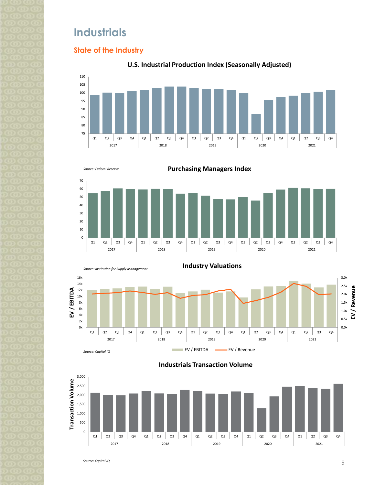# **Industrials**

## **State of the Industry**















*Source: Capital IQ*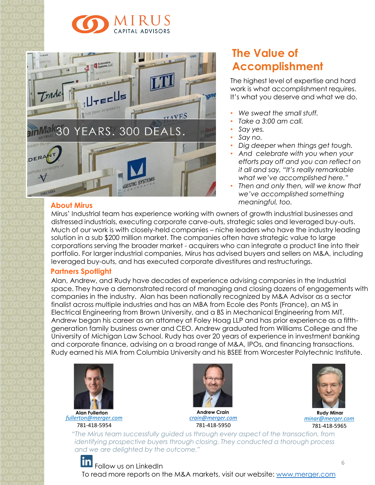



## **About Mirus**

# **The Value of Accomplishment**

The highest level of expertise and hard work is what accomplishment requires. It's what you deserve and what we do.

- *We sweat the small stuff.*
- *Take a 3:00 am call.*
- *Say yes.*
- *Say no.*
- *Dig deeper when things get tough.*
- *And celebrate with you when your efforts pay off and you can reflect on it all and say, "It's really remarkable what we've accomplished here."*
- *Then and only then, will we know that we've accomplished something meaningful, too.*

Mirus' Industrial team has experience working with owners of growth industrial businesses and distressed industrials, executing corporate carve-outs, strategic sales and leveraged buy-outs. Much of our work is with closely-held companies – niche leaders who have the industry leading solution in a sub \$200 million market. The companies often have strategic value to large corporations serving the broader market - acquirers who can integrate a product line into their portfolio. For larger industrial companies, Mirus has advised buyers and sellers on M&A, including leveraged buy-outs, and has executed corporate divestitures and restructurings.

## **Partners Spotlight**

Alan, Andrew, and Rudy have decades of experience advising companies in the Industrial space. They have a demonstrated record of managing and closing dozens of engagements with companies in the industry. Alan has been nationally recognized by M&A Advisor as a sector finalist across multiple industries and has an MBA from Ecole des Ponts (France), an MS in Electrical Engineering from Brown University, and a BS in Mechanical Engineering from MIT. Andrew began his career as an attorney at Foley Hoag LLP and has prior experience as a fifthgeneration family business owner and CEO. Andrew graduated from Williams College and the University of Michigan Law School. Rudy has over 20 years of experience in investment banking and corporate finance, advising on a broad range of M&A, IPOs, and financing transactions. Rudy earned his MIA from Columbia University and his BSEE from Worcester Polytechnic Institute.



*[fullerton@merger.com](mailto:fullerton@merger.com)* 781-418-5954



*[crain@merger.com](mailto:crain@merger.com)* 781-418-5950 **Andrew Crain**



**Rudy Minar** *minar@merger.com* 781-418-5965

*"The Mirus team successfully guided us through every aspect of the transaction, from identifying prospective buyers through closing. They conducted a thorough process and we are delighted by the outcome."*

#### lin Follow us on LinkedIn To read more reports on the M&A markets, visit our website: [www.merger.com](http://www.merger.com/)